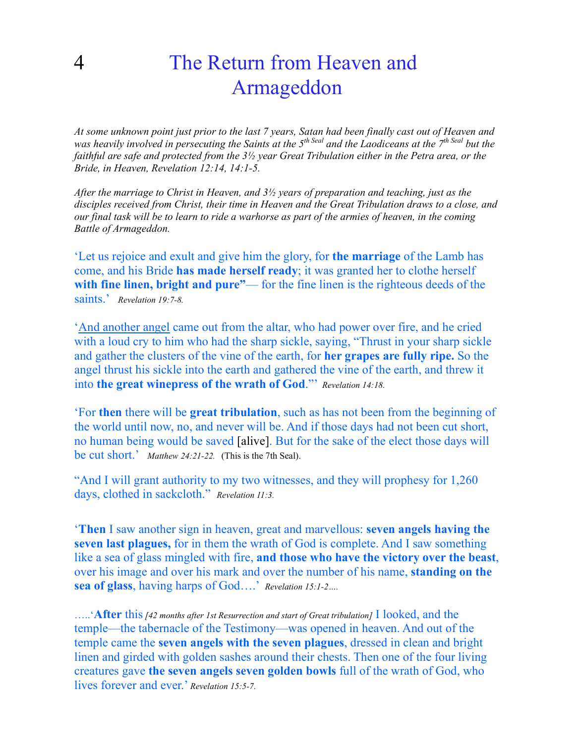## 4 The Return from Heaven and Armageddon

*At some unknown point just prior to the last 7 years, Satan had been finally cast out of Heaven and was heavily involved in persecuting the Saints at the 5th Seal and the Laodiceans at the 7th Seal but the faithful are safe and protected from the 3½ year Great Tribulation either in the Petra area, or the Bride, in Heaven, Revelation 12:14, 14:1-5.* 

*After the marriage to Christ in Heaven, and 3½ years of preparation and teaching, just as the disciples received from Christ, their time in Heaven and the Great Tribulation draws to a close, and our final task will be to learn to ride a warhorse as part of the armies of heaven, in the coming Battle of Armageddon.* 

'Let us rejoice and exult and give him the glory, for **the marriage** of the Lamb has come, and his Bride **has made herself ready**; it was granted her to clothe herself with fine linen, bright and pure"— for the fine linen is the righteous deeds of the saints.' *Revelation 19:7-8.*

'And another angel came out from the altar, who had power over fire, and he cried with a loud cry to him who had the sharp sickle, saying, "Thrust in your sharp sickle and gather the clusters of the vine of the earth, for **her grapes are fully ripe.** So the angel thrust his sickle into the earth and gathered the vine of the earth, and threw it into **the great winepress of the wrath of God**."' *Revelation 14:18.* 

'For **then** there will be **great tribulation**, such as has not been from the beginning of the world until now, no, and never will be. And if those days had not been cut short, no human being would be saved [alive]. But for the sake of the elect those days will be cut short.' *Matthew 24:21-22.* (This is the 7th Seal).

"And I will grant authority to my two witnesses, and they will prophesy for 1,260 days, clothed in sackcloth." *Revelation 11:3.*

'**Then** I saw another sign in heaven, great and marvellous: **seven angels having the seven last plagues,** for in them the wrath of God is complete. And I saw something like a sea of glass mingled with fire, **and those who have the victory over the beast**, over his image and over his mark and over the number of his name, **standing on the sea of glass**, having harps of God….' *Revelation 15:1-2….*

…..'**After** this *[42 months after 1st Resurrection and start of Great tribulation]* I looked, and the temple—the tabernacle of the Testimony—was opened in heaven. And out of the temple came the **seven angels with the seven plagues**, dressed in clean and bright linen and girded with golden sashes around their chests. Then one of the four living creatures gave **the seven angels seven golden bowls** full of the wrath of God, who lives forever and ever.' *Revelation 15:5-7.*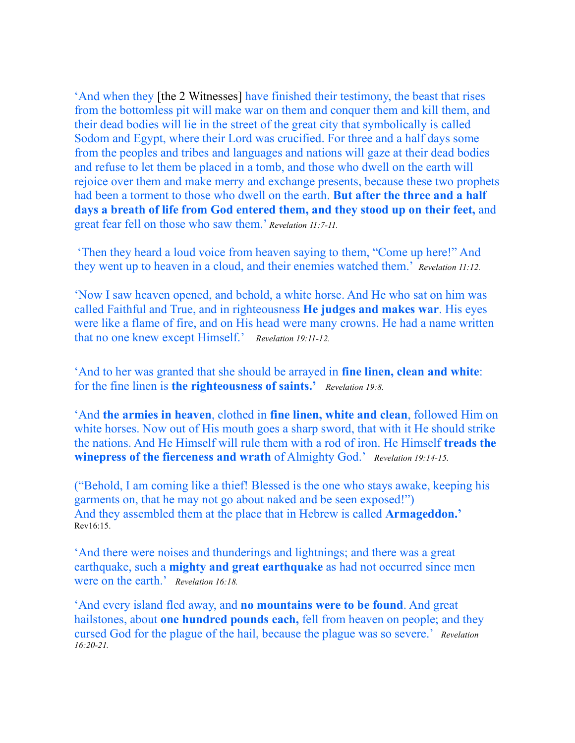'And when they [the 2 Witnesses] have finished their testimony, the beast that rises from the bottomless pit will make war on them and conquer them and kill them, and their dead bodies will lie in the street of the great city that symbolically is called Sodom and Egypt, where their Lord was crucified. For three and a half days some from the peoples and tribes and languages and nations will gaze at their dead bodies and refuse to let them be placed in a tomb, and those who dwell on the earth will rejoice over them and make merry and exchange presents, because these two prophets had been a torment to those who dwell on the earth. **But after the three and a half days a breath of life from God entered them, and they stood up on their feet,** and great fear fell on those who saw them.' *Revelation 11:7-11.*

 'Then they heard a loud voice from heaven saying to them, "Come up here!" And they went up to heaven in a cloud, and their enemies watched them.' *Revelation 11:12.*

'Now I saw heaven opened, and behold, a white horse. And He who sat on him was called Faithful and True, and in righteousness **He judges and makes war**. His eyes were like a flame of fire, and on His head were many crowns. He had a name written that no one knew except Himself.' *Revelation 19:11-12.*

'And to her was granted that she should be arrayed in **fine linen, clean and white**: for the fine linen is **the righteousness of saints.'** *Revelation 19:8.*

'And **the armies in heaven**, clothed in **fine linen, white and clean**, followed Him on white horses. Now out of His mouth goes a sharp sword, that with it He should strike the nations. And He Himself will rule them with a rod of iron. He Himself **treads the winepress of the fierceness and wrath** of Almighty God.' *Revelation 19:14-15.*

("Behold, I am coming like a thief! Blessed is the one who stays awake, keeping his garments on, that he may not go about naked and be seen exposed!") And they assembled them at the place that in Hebrew is called **Armageddon.'**  Rev16:15.

'And there were noises and thunderings and lightnings; and there was a great earthquake, such a **mighty and great earthquake** as had not occurred since men were on the earth.' *Revelation 16:18.*

'And every island fled away, and **no mountains were to be found**. And great hailstones, about **one hundred pounds each,** fell from heaven on people; and they cursed God for the plague of the hail, because the plague was so severe.' *Revelation 16:20-21.*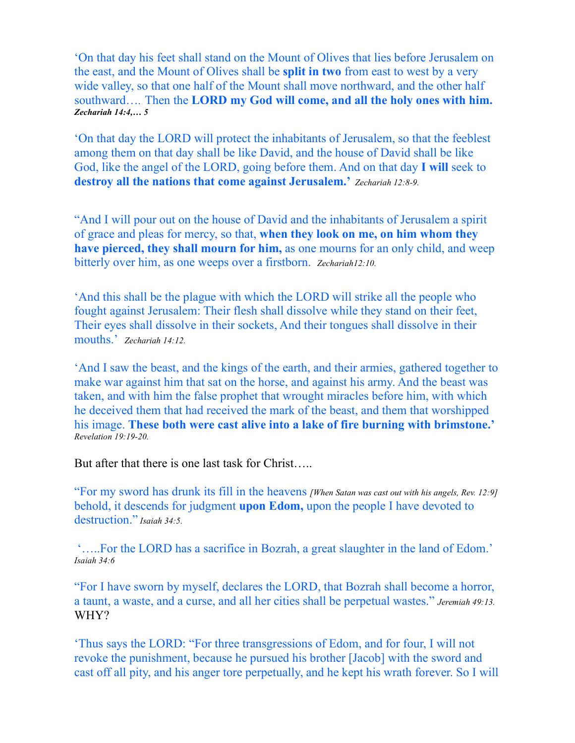'On that day his feet shall stand on the Mount of Olives that lies before Jerusalem on the east, and the Mount of Olives shall be **split in two** from east to west by a very wide valley, so that one half of the Mount shall move northward, and the other half southward…. Then the **LORD my God will come, and all the holy ones with him.**  *Zechariah 14:4,… 5*

'On that day the LORD will protect the inhabitants of Jerusalem, so that the feeblest among them on that day shall be like David, and the house of David shall be like God, like the angel of the LORD, going before them. And on that day **I will** seek to **destroy all the nations that come against Jerusalem.'** *Zechariah 12:8-9.*

"And I will pour out on the house of David and the inhabitants of Jerusalem a spirit of grace and pleas for mercy, so that, **when they look on me, on him whom they have pierced, they shall mourn for him,** as one mourns for an only child, and weep bitterly over him, as one weeps over a firstborn. *Zechariah12:10.*

'And this shall be the plague with which the LORD will strike all the people who fought against Jerusalem: Their flesh shall dissolve while they stand on their feet, Their eyes shall dissolve in their sockets, And their tongues shall dissolve in their mouths.' *Zechariah 14:12.*

'And I saw the beast, and the kings of the earth, and their armies, gathered together to make war against him that sat on the horse, and against his army. And the beast was taken, and with him the false prophet that wrought miracles before him, with which he deceived them that had received the mark of the beast, and them that worshipped his image. **These both were cast alive into a lake of fire burning with brimstone.'** *Revelation 19:19-20.* 

But after that there is one last task for Christ…..

"For my sword has drunk its fill in the heavens *[When Satan was cast out with his angels, Rev. 12:9]* behold, it descends for judgment **upon Edom,** upon the people I have devoted to destruction." *Isaiah 34:5.* 

 '…..For the LORD has a sacrifice in Bozrah, a great slaughter in the land of Edom.' *Isaiah 34:6* 

"For I have sworn by myself, declares the LORD, that Bozrah shall become a horror, a taunt, a waste, and a curse, and all her cities shall be perpetual wastes." *Jeremiah 49:13.*  WHY?

'Thus says the LORD: "For three transgressions of Edom, and for four, I will not revoke the punishment, because he pursued his brother [Jacob] with the sword and cast off all pity, and his anger tore perpetually, and he kept his wrath forever. So I will